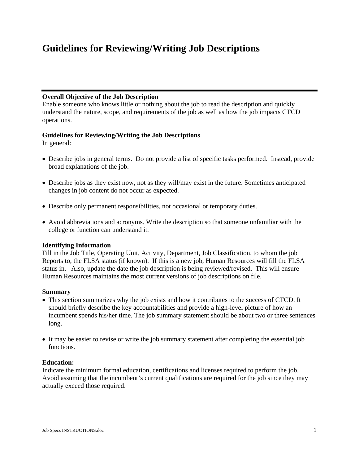# **Guidelines for Reviewing/Writing Job Descriptions**

### **Overall Objective of the Job Description**

Enable someone who knows little or nothing about the job to read the description and quickly understand the nature, scope, and requirements of the job as well as how the job impacts CTCD operations.

# **Guidelines for Reviewing/Writing the Job Descriptions**

In general:

- Describe jobs in general terms. Do not provide a list of specific tasks performed. Instead, provide broad explanations of the job.
- Describe jobs as they exist now, not as they will/may exist in the future. Sometimes anticipated changes in job content do not occur as expected.
- Describe only permanent responsibilities, not occasional or temporary duties.
- Avoid abbreviations and acronyms. Write the description so that someone unfamiliar with the college or function can understand it.

# **Identifying Information**

Fill in the Job Title, Operating Unit, Activity, Department, Job Classification, to whom the job Reports to, the FLSA status (if known). If this is a new job, Human Resources will fill the FLSA status in. Also, update the date the job description is being reviewed/revised. This will ensure Human Resources maintains the most current versions of job descriptions on file.

#### **Summary**

- This section summarizes why the job exists and how it contributes to the success of CTCD. It should briefly describe the key accountabilities and provide a high-level picture of how an incumbent spends his/her time. The job summary statement should be about two or three sentences long.
- It may be easier to revise or write the job summary statement after completing the essential job functions.

# **Education:**

Indicate the minimum formal education, certifications and licenses required to perform the job. Avoid assuming that the incumbent's current qualifications are required for the job since they may actually exceed those required.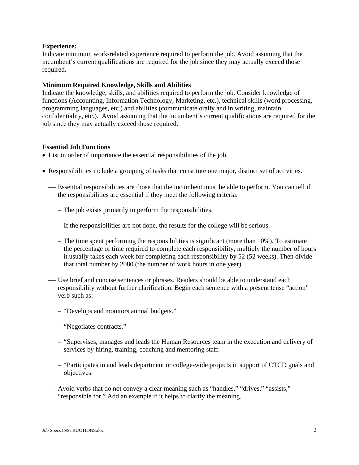#### **Experience:**

Indicate minimum work-related experience required to perform the job. Avoid assuming that the incumbent's current qualifications are required for the job since they may actually exceed those required.

#### **Minimum Required Knowledge, Skills and Abilities**

Indicate the knowledge, skills, and abilities required to perform the job. Consider knowledge of functions (Accounting, Information Technology, Marketing, etc.), technical skills (word processing, programming languages, etc.) and abilities (communicate orally and in writing, maintain confidentiality, etc.). Avoid assuming that the incumbent's current qualifications are required for the job since they may actually exceed those required.

#### **Essential Job Functions**

- List in order of importance the essential responsibilities of the job.
- Responsibilities include a grouping of tasks that constitute one major, distinct set of activities.
	- Essential responsibilities are those that the incumbent must be able to perform. You can tell if the responsibilities are essential if they meet the following criteria:
		- The job exists primarily to perform the responsibilities.
		- If the responsibilities are not done, the results for the college will be serious.
		- The time spent performing the responsibilities is significant (more than 10%). To estimate the percentage of time required to complete each responsibility, multiply the number of hours it usually takes each week for completing each responsibility by 52 (52 weeks). Then divide that total number by 2080 (the number of work hours in one year).
	- Use brief and concise sentences or phrases. Readers should be able to understand each responsibility without further clarification. Begin each sentence with a present tense "action" verb such as:
		- "Develops and monitors annual budgets."
		- "Negotiates contracts."
		- "Supervises, manages and leads the Human Resources team in the execution and delivery of services by hiring, training, coaching and mentoring staff.
		- "Participates in and leads department or college-wide projects in support of CTCD goals and objectives.
	- ⎯ Avoid verbs that do not convey a clear meaning such as "handles," "drives," "assists," "responsible for." Add an example if it helps to clarify the meaning.